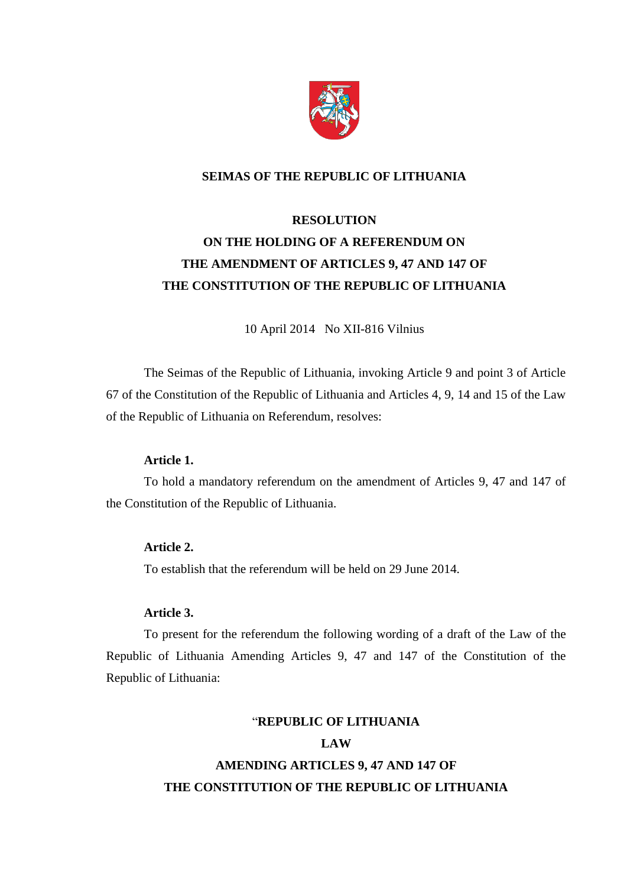

# **SEIMAS OF THE REPUBLIC OF LITHUANIA**

# **RESOLUTION ON THE HOLDING OF A REFERENDUM ON THE AMENDMENT OF ARTICLES 9, 47 AND 147 OF THE CONSTITUTION OF THE REPUBLIC OF LITHUANIA**

10 April 2014 No XII-816 Vilnius

The Seimas of the Republic of Lithuania, invoking Article 9 and point 3 of Article 67 of the Constitution of the Republic of Lithuania and Articles 4, 9, 14 and 15 of the Law of the Republic of Lithuania on Referendum, resolves:

# **Article 1.**

To hold a mandatory referendum on the amendment of Articles 9, 47 and 147 of the Constitution of the Republic of Lithuania.

# **Article 2.**

To establish that the referendum will be held on 29 June 2014.

#### **Article 3.**

To present for the referendum the following wording of a draft of the Law of the Republic of Lithuania Amending Articles 9, 47 and 147 of the Constitution of the Republic of Lithuania:

# "**REPUBLIC OF LITHUANIA**

# **LAW**

# **AMENDING ARTICLES 9, 47 AND 147 OF THE CONSTITUTION OF THE REPUBLIC OF LITHUANIA**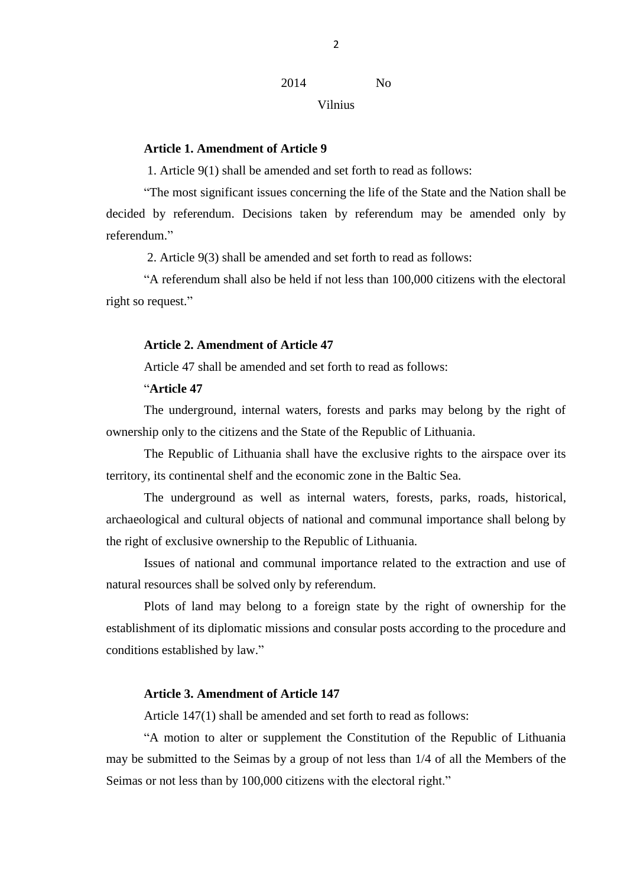2014 No

Vilnius

#### **Article 1. Amendment of Article 9**

1. Article 9(1) shall be amended and set forth to read as follows:

"The most significant issues concerning the life of the State and the Nation shall be decided by referendum. Decisions taken by referendum may be amended only by referendum."

2. Article 9(3) shall be amended and set forth to read as follows:

"A referendum shall also be held if not less than 100,000 citizens with the electoral right so request."

# **Article 2. Amendment of Article 47**

Article 47 shall be amended and set forth to read as follows:

# "**Article 47**

The underground, internal waters, forests and parks may belong by the right of ownership only to the citizens and the State of the Republic of Lithuania.

The Republic of Lithuania shall have the exclusive rights to the airspace over its territory, its continental shelf and the economic zone in the Baltic Sea.

The underground as well as internal waters, forests, parks, roads, historical, archaeological and cultural objects of national and communal importance shall belong by the right of exclusive ownership to the Republic of Lithuania.

Issues of national and communal importance related to the extraction and use of natural resources shall be solved only by referendum.

Plots of land may belong to a foreign state by the right of ownership for the establishment of its diplomatic missions and consular posts according to the procedure and conditions established by law."

# **Article 3. Amendment of Article 147**

Article 147(1) shall be amended and set forth to read as follows:

"A motion to alter or supplement the Constitution of the Republic of Lithuania may be submitted to the Seimas by a group of not less than 1/4 of all the Members of the Seimas or not less than by 100,000 citizens with the electoral right."